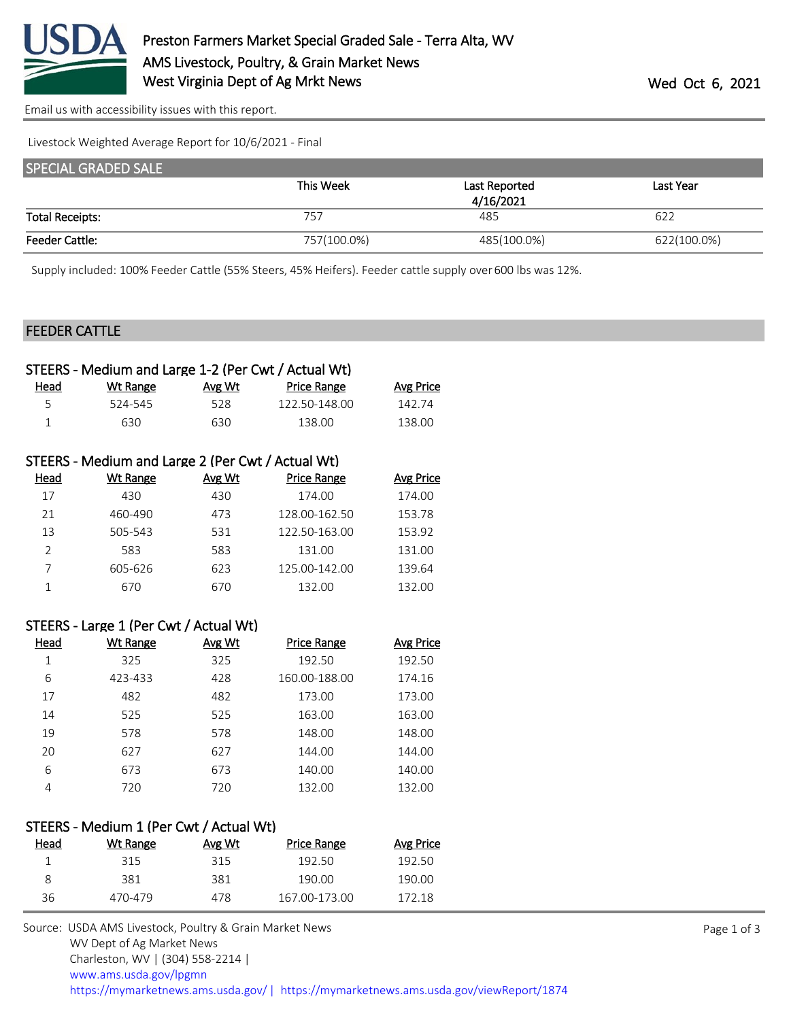

[Email us with accessibility issues with this report.](mailto:mars@ams.usda.gov?subject=508%20issue)

Livestock Weighted Average Report for 10/6/2021 - Final

| <b>SPECIAL GRADED SALE</b> |             |               |             |
|----------------------------|-------------|---------------|-------------|
|                            | This Week   | Last Reported | Last Year   |
|                            |             | 4/16/2021     |             |
| <b>Total Receipts:</b>     | 757         | 485           | 622         |
| <b>Feeder Cattle:</b>      | 757(100.0%) | 485(100.0%)   | 622(100.0%) |

Supply included: 100% Feeder Cattle (55% Steers, 45% Heifers). Feeder cattle supply over 600 lbs was 12%.

#### FEEDER CATTLE

| Wt Range | Avg Wt | <b>Price Range</b> | Avg Price                                           |
|----------|--------|--------------------|-----------------------------------------------------|
| 524-545  | 528.   | 122.50-148.00      | 142.74                                              |
| 630.     | 630.   | 138.00             | 138.00                                              |
|          |        |                    | STEERS - Medium and Large 1-2 (Per Cwt / Actual Wt) |

|               | STEERS - Medium and Large 2 (Per Cwt / Actual Wt) |        |                    |                  |
|---------------|---------------------------------------------------|--------|--------------------|------------------|
| Head          | Wt Range                                          | Avg Wt | <b>Price Range</b> | <b>Avg Price</b> |
| 17            | 430                                               | 430    | 174.00             | 174.00           |
| 21            | 460-490                                           | 473    | 128.00-162.50      | 153.78           |
| 13            | 505-543                                           | 531    | 122.50-163.00      | 153.92           |
| $\mathcal{P}$ | 583                                               | 583    | 131.00             | 131.00           |
|               | 605-626                                           | 623    | 125.00-142.00      | 139.64           |
|               | 670                                               | 670    | 132.00             | 132.00           |

#### STEERS - Large 1 (Per Cwt / Actual Wt)

| Head | <b>Wt Range</b> | Avg Wt | <b>Price Range</b> | <b>Avg Price</b> |
|------|-----------------|--------|--------------------|------------------|
| 1    | 325             | 325    | 192.50             | 192.50           |
| 6    | 423-433         | 428    | 160.00-188.00      | 174.16           |
| 17   | 482             | 482    | 173.00             | 173.00           |
| 14   | 525             | 525    | 163.00             | 163.00           |
| 19   | 578             | 578    | 148.00             | 148.00           |
| 20   | 627             | 627    | 144.00             | 144.00           |
| 6    | 673             | 673    | 140.00             | 140.00           |
| 4    | 720             | 720    | 132.00             | 132.00           |

#### STEERS - Medium 1 (Per Cwt / Actual Wt)

| Head | Wt Range | Avg Wt | Price Range   | Avg Price |
|------|----------|--------|---------------|-----------|
|      | 315      | 315    | 192.50        | 192.50    |
| 8    | 381      | 381    | 190.OO        | 190.00    |
| 36   | 470-479  | 478.   | 167.00-173.00 | 172 18    |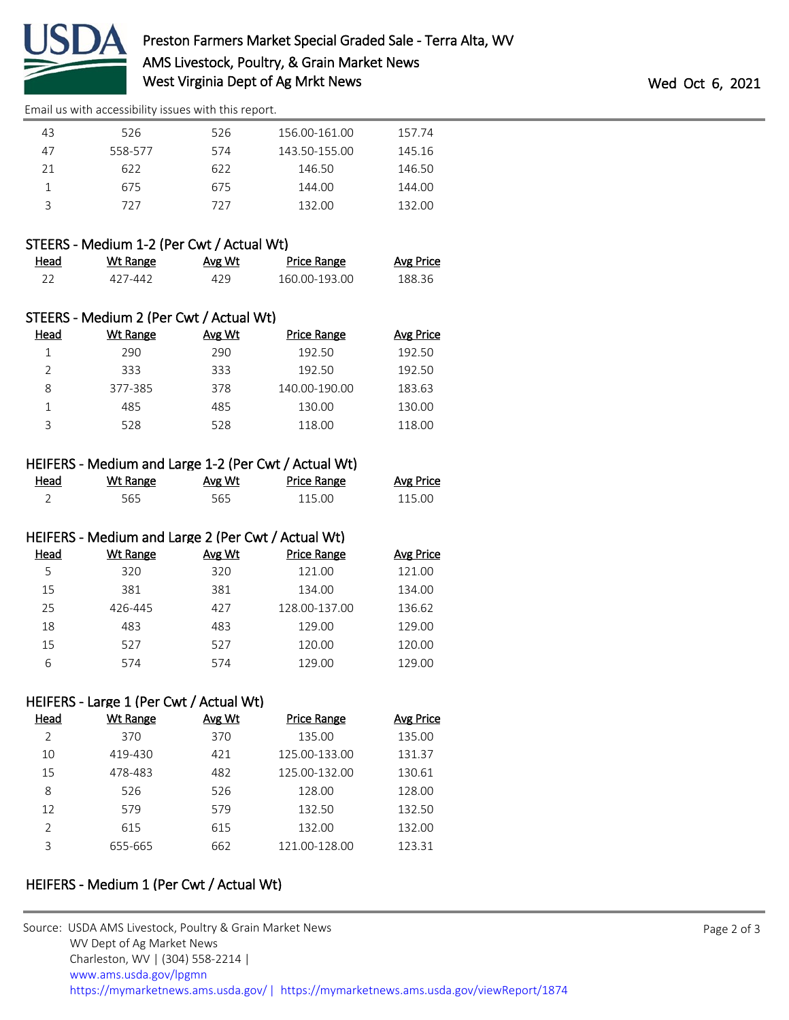

[Email us with accessibility issues with this report.](mailto:mars@ams.usda.gov?subject=508%20issue)

| 43 | 526     | 526 | 156.00-161.00 | 157.74 |
|----|---------|-----|---------------|--------|
| 47 | 558-577 | 574 | 143.50-155.00 | 145.16 |
| 21 | 622     | 622 | 146.50        | 146.50 |
|    | 675     | 675 | 144.00        | 144.00 |
|    | 727     | 727 | 132.00        | 132.00 |

## STEERS - Medium 1-2 (Per Cwt / Actual Wt)

| Head | Wt Range | <b>Avg Wt</b> | Price Range   | <b>Avg Price</b> |
|------|----------|---------------|---------------|------------------|
|      | 427-442  | 429           | 160.00-193.00 | 188.36           |

|               | STEERS - Medium 2 (Per Cwt / Actual Wt) |        |                    |           |
|---------------|-----------------------------------------|--------|--------------------|-----------|
| Head          | Wt Range                                | Avg Wt | <b>Price Range</b> | Avg Price |
|               | 290                                     | 290    | 192.50             | 192.50    |
| $\mathcal{P}$ | 333                                     | 333    | 192.50             | 192.50    |
| 8             | 377-385                                 | 378    | 140.00-190.00      | 183.63    |
| 1             | 485                                     | 485    | 130.00             | 130.00    |
| ς             | 528                                     | 528    | 118.00             | 118.00    |

## HEIFERS - Medium and Large 1-2 (Per Cwt / Actual Wt)

| Head | Wt Range | Avg Wt | <b>Price Range</b> | <b>Avg Price</b> |
|------|----------|--------|--------------------|------------------|
|      | 565      | 565    | 115.00             | 115.00           |

### HEIFERS - Medium and Large 2 (Per Cwt / Actual Wt)

| Head | Wt Range | Avg Wt | <b>Price Range</b> | Avg Price |
|------|----------|--------|--------------------|-----------|
| 5    | 320      | 320    | 121.00             | 121.00    |
| 15   | 381      | 381    | 134.00             | 134.00    |
| 25   | 426-445  | 427    | 128.00-137.00      | 136.62    |
| 18   | 483      | 483    | 129.00             | 129.00    |
| 15   | 527      | 527    | 120.00             | 120.00    |
| 6    | 574      | 574    | 129.00             | 129.00    |

## HEIFERS - Large 1 (Per Cwt / Actual Wt)

| Head          | Wt Range | Avg Wt | <b>Price Range</b> | Avg Price |
|---------------|----------|--------|--------------------|-----------|
| C             | 370      | 370    | 135.00             | 135.00    |
| 10            | 419-430  | 421    | 125.00-133.00      | 131.37    |
| 15            | 478-483  | 482    | 125.00-132.00      | 130.61    |
| 8             | 526      | 526    | 128.00             | 128.00    |
| 12            | 579      | 579    | 132.50             | 132.50    |
| $\mathcal{P}$ | 615      | 615    | 132.00             | 132.00    |
| ς             | 655-665  | 662    | 121.00-128.00      | 123.31    |

# HEIFERS - Medium 1 (Per Cwt / Actual Wt)